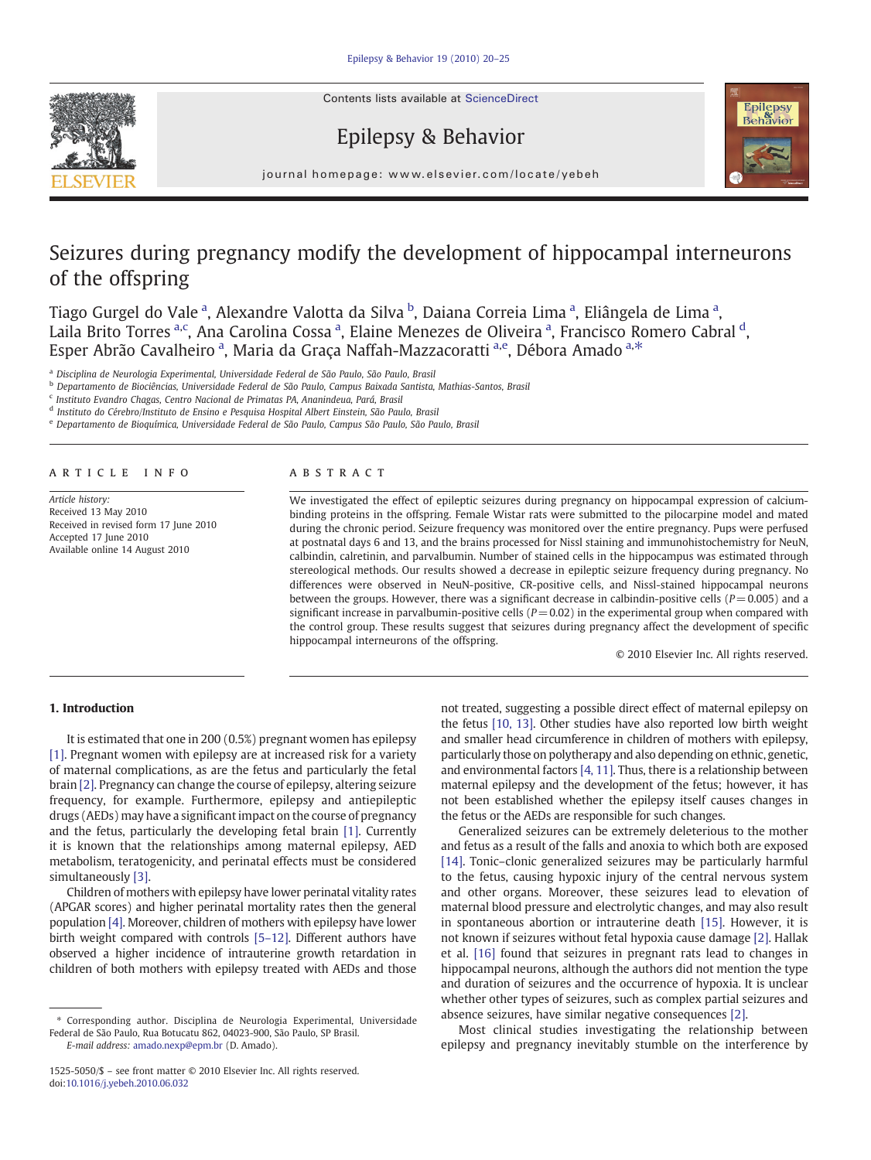Contents lists available at ScienceDirect







 $j$  or example  $\mathcal{L}$  . We have  $\mathcal{L}$  the following the set of  $\mathcal{L}$  and  $\mathcal{L}$  and  $\mathcal{L}$ 

# Seizures during pregnancy modify the development of hippocampal interneurons of the offspring

Tiago Gurgel do Vale <sup>a</sup>, Alexandre Valotta da Silva <sup>b</sup>, Daiana Correia Lima <sup>a</sup>, Eliângela de Lima <sup>a</sup>, Laila Brito Torres <sup>a,c</sup>, Ana Carolina Cossa <sup>a</sup>, Elaine Menezes de Oliveira <sup>a</sup>, Francisco Romero Cabral <sup>d</sup>, Esper Abrão Cavalheiro <sup>a</sup>, Maria da Graça Naffah-Mazzacoratti <sup>a,e</sup>, Débora Amado <sup>a,\*</sup>

<sup>a</sup> Disciplina de Neurologia Experimental, Universidade Federal de São Paulo, São Paulo, Brasil

**b Departamento de Biociências, Universidade Federal de São Paulo, Campus Baixada Santista, Mathias-Santos, Brasil** 

<sup>c</sup> Instituto Evandro Chagas, Centro Nacional de Primatas PA, Ananindeua, Pará, Brasil

<sup>d</sup> Instituto do Cérebro/Instituto de Ensino e Pesquisa Hospital Albert Einstein, São Paulo, Brasil

<sup>e</sup> Departamento de Bioquímica, Universidade Federal de São Paulo, Campus São Paulo, São Paulo, Brasil

#### article info abstract

Article history: Received 13 May 2010 Received in revised form 17 June 2010 Accepted 17 June 2010 Available online 14 August 2010

We investigated the effect of epileptic seizures during pregnancy on hippocampal expression of calciumbinding proteins in the offspring. Female Wistar rats were submitted to the pilocarpine model and mated during the chronic period. Seizure frequency was monitored over the entire pregnancy. Pups were perfused at postnatal days 6 and 13, and the brains processed for Nissl staining and immunohistochemistry for NeuN, calbindin, calretinin, and parvalbumin. Number of stained cells in the hippocampus was estimated through stereological methods. Our results showed a decrease in epileptic seizure frequency during pregnancy. No differences were observed in NeuN-positive, CR-positive cells, and Nissl-stained hippocampal neurons between the groups. However, there was a significant decrease in calbindin-positive cells ( $P= 0.005$ ) and a significant increase in parvalbumin-positive cells ( $P = 0.02$ ) in the experimental group when compared with the control group. These results suggest that seizures during pregnancy affect the development of specific hippocampal interneurons of the offspring.

© 2010 Elsevier Inc. All rights reserved.

# 1. Introduction

It is estimated that one in 200 (0.5%) pregnant women has epilepsy [\[1\].](#page-5-0) Pregnant women with epilepsy are at increased risk for a variety of maternal complications, as are the fetus and particularly the fetal brain [\[2\]](#page-5-0). Pregnancy can change the course of epilepsy, altering seizure frequency, for example. Furthermore, epilepsy and antiepileptic drugs (AEDs) may have a significant impact on the course of pregnancy and the fetus, particularly the developing fetal brain [\[1\]](#page-5-0). Currently it is known that the relationships among maternal epilepsy, AED metabolism, teratogenicity, and perinatal effects must be considered simultaneously [\[3\]](#page-5-0).

Children of mothers with epilepsy have lower perinatal vitality rates (APGAR scores) and higher perinatal mortality rates then the general population [\[4\].](#page-5-0) Moreover, children of mothers with epilepsy have lower birth weight compared with controls [5–[12\]](#page-5-0). Different authors have observed a higher incidence of intrauterine growth retardation in children of both mothers with epilepsy treated with AEDs and those

E-mail address: [amado.nexp@epm.br](mailto:amado.nexp@epm.br) (D. Amado).

not treated, suggesting a possible direct effect of maternal epilepsy on the fetus [\[10, 13\].](#page-5-0) Other studies have also reported low birth weight and smaller head circumference in children of mothers with epilepsy, particularly those on polytherapy and also depending on ethnic, genetic, and environmental factors [\[4, 11\]](#page-5-0). Thus, there is a relationship between maternal epilepsy and the development of the fetus; however, it has not been established whether the epilepsy itself causes changes in the fetus or the AEDs are responsible for such changes.

Generalized seizures can be extremely deleterious to the mother and fetus as a result of the falls and anoxia to which both are exposed [\[14\]](#page-5-0). Tonic-clonic generalized seizures may be particularly harmful to the fetus, causing hypoxic injury of the central nervous system and other organs. Moreover, these seizures lead to elevation of maternal blood pressure and electrolytic changes, and may also result in spontaneous abortion or intrauterine death [\[15\]](#page-5-0). However, it is not known if seizures without fetal hypoxia cause damage [\[2\].](#page-5-0) Hallak et al. [\[16\]](#page-5-0) found that seizures in pregnant rats lead to changes in hippocampal neurons, although the authors did not mention the type and duration of seizures and the occurrence of hypoxia. It is unclear whether other types of seizures, such as complex partial seizures and absence seizures, have similar negative consequences [\[2\].](#page-5-0)

Most clinical studies investigating the relationship between epilepsy and pregnancy inevitably stumble on the interference by

<sup>⁎</sup> Corresponding author. Disciplina de Neurologia Experimental, Universidade Federal de São Paulo, Rua Botucatu 862, 04023-900, São Paulo, SP Brasil.

<sup>1525-5050/\$</sup> – see front matter © 2010 Elsevier Inc. All rights reserved. doi[:10.1016/j.yebeh.2010.06.032](http://dx.doi.org/10.1016/j.yebeh.2010.06.032)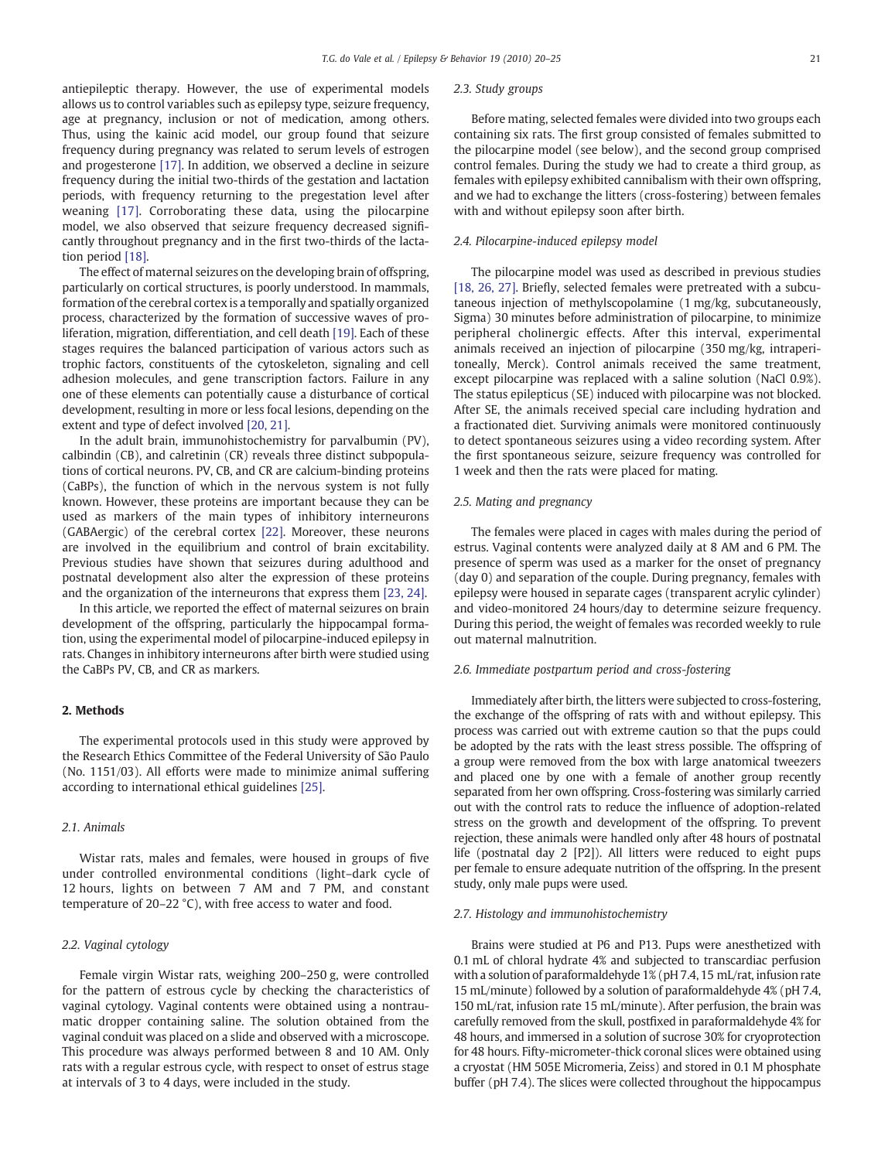antiepileptic therapy. However, the use of experimental models allows us to control variables such as epilepsy type, seizure frequency, age at pregnancy, inclusion or not of medication, among others. Thus, using the kainic acid model, our group found that seizure frequency during pregnancy was related to serum levels of estrogen and progesterone [\[17\]](#page-5-0). In addition, we observed a decline in seizure frequency during the initial two-thirds of the gestation and lactation periods, with frequency returning to the pregestation level after weaning [\[17\]](#page-5-0). Corroborating these data, using the pilocarpine model, we also observed that seizure frequency decreased significantly throughout pregnancy and in the first two-thirds of the lactation period [\[18\]](#page-5-0).

The effect of maternal seizures on the developing brain of offspring, particularly on cortical structures, is poorly understood. In mammals, formation of the cerebral cortex is a temporally and spatially organized process, characterized by the formation of successive waves of proliferation, migration, differentiation, and cell death [\[19\]](#page-5-0). Each of these stages requires the balanced participation of various actors such as trophic factors, constituents of the cytoskeleton, signaling and cell adhesion molecules, and gene transcription factors. Failure in any one of these elements can potentially cause a disturbance of cortical development, resulting in more or less focal lesions, depending on the extent and type of defect involved [\[20, 21\].](#page-5-0)

In the adult brain, immunohistochemistry for parvalbumin (PV), calbindin (CB), and calretinin (CR) reveals three distinct subpopulations of cortical neurons. PV, CB, and CR are calcium-binding proteins (CaBPs), the function of which in the nervous system is not fully known. However, these proteins are important because they can be used as markers of the main types of inhibitory interneurons (GABAergic) of the cerebral cortex [\[22\].](#page-5-0) Moreover, these neurons are involved in the equilibrium and control of brain excitability. Previous studies have shown that seizures during adulthood and postnatal development also alter the expression of these proteins and the organization of the interneurons that express them [\[23, 24\]](#page-5-0).

In this article, we reported the effect of maternal seizures on brain development of the offspring, particularly the hippocampal formation, using the experimental model of pilocarpine-induced epilepsy in rats. Changes in inhibitory interneurons after birth were studied using the CaBPs PV, CB, and CR as markers.

# 2. Methods

The experimental protocols used in this study were approved by the Research Ethics Committee of the Federal University of São Paulo (No. 1151/03). All efforts were made to minimize animal suffering according to international ethical guidelines [\[25\].](#page-5-0)

#### 2.1. Animals

Wistar rats, males and females, were housed in groups of five under controlled environmental conditions (light–dark cycle of 12 hours, lights on between 7 AM and 7 PM, and constant temperature of 20–22 °C), with free access to water and food.

# 2.2. Vaginal cytology

Female virgin Wistar rats, weighing 200–250 g, were controlled for the pattern of estrous cycle by checking the characteristics of vaginal cytology. Vaginal contents were obtained using a nontraumatic dropper containing saline. The solution obtained from the vaginal conduit was placed on a slide and observed with a microscope. This procedure was always performed between 8 and 10 AM. Only rats with a regular estrous cycle, with respect to onset of estrus stage at intervals of 3 to 4 days, were included in the study.

# 2.3. Study groups

Before mating, selected females were divided into two groups each containing six rats. The first group consisted of females submitted to the pilocarpine model (see below), and the second group comprised control females. During the study we had to create a third group, as females with epilepsy exhibited cannibalism with their own offspring, and we had to exchange the litters (cross-fostering) between females with and without epilepsy soon after birth.

#### 2.4. Pilocarpine-induced epilepsy model

The pilocarpine model was used as described in previous studies [\[18, 26, 27\].](#page-5-0) Briefly, selected females were pretreated with a subcutaneous injection of methylscopolamine (1 mg/kg, subcutaneously, Sigma) 30 minutes before administration of pilocarpine, to minimize peripheral cholinergic effects. After this interval, experimental animals received an injection of pilocarpine (350 mg/kg, intraperitoneally, Merck). Control animals received the same treatment, except pilocarpine was replaced with a saline solution (NaCl 0.9%). The status epilepticus (SE) induced with pilocarpine was not blocked. After SE, the animals received special care including hydration and a fractionated diet. Surviving animals were monitored continuously to detect spontaneous seizures using a video recording system. After the first spontaneous seizure, seizure frequency was controlled for 1 week and then the rats were placed for mating.

# 2.5. Mating and pregnancy

The females were placed in cages with males during the period of estrus. Vaginal contents were analyzed daily at 8 AM and 6 PM. The presence of sperm was used as a marker for the onset of pregnancy (day 0) and separation of the couple. During pregnancy, females with epilepsy were housed in separate cages (transparent acrylic cylinder) and video-monitored 24 hours/day to determine seizure frequency. During this period, the weight of females was recorded weekly to rule out maternal malnutrition.

#### 2.6. Immediate postpartum period and cross-fostering

Immediately after birth, the litters were subjected to cross-fostering, the exchange of the offspring of rats with and without epilepsy. This process was carried out with extreme caution so that the pups could be adopted by the rats with the least stress possible. The offspring of a group were removed from the box with large anatomical tweezers and placed one by one with a female of another group recently separated from her own offspring. Cross-fostering was similarly carried out with the control rats to reduce the influence of adoption-related stress on the growth and development of the offspring. To prevent rejection, these animals were handled only after 48 hours of postnatal life (postnatal day 2 [P2]). All litters were reduced to eight pups per female to ensure adequate nutrition of the offspring. In the present study, only male pups were used.

### 2.7. Histology and immunohistochemistry

Brains were studied at P6 and P13. Pups were anesthetized with 0.1 mL of chloral hydrate 4% and subjected to transcardiac perfusion with a solution of paraformaldehyde 1% (pH 7.4, 15 mL/rat, infusion rate 15 mL/minute) followed by a solution of paraformaldehyde 4% (pH 7.4, 150 mL/rat, infusion rate 15 mL/minute). After perfusion, the brain was carefully removed from the skull, postfixed in paraformaldehyde 4% for 48 hours, and immersed in a solution of sucrose 30% for cryoprotection for 48 hours. Fifty-micrometer-thick coronal slices were obtained using a cryostat (HM 505E Micromeria, Zeiss) and stored in 0.1 M phosphate buffer (pH 7.4). The slices were collected throughout the hippocampus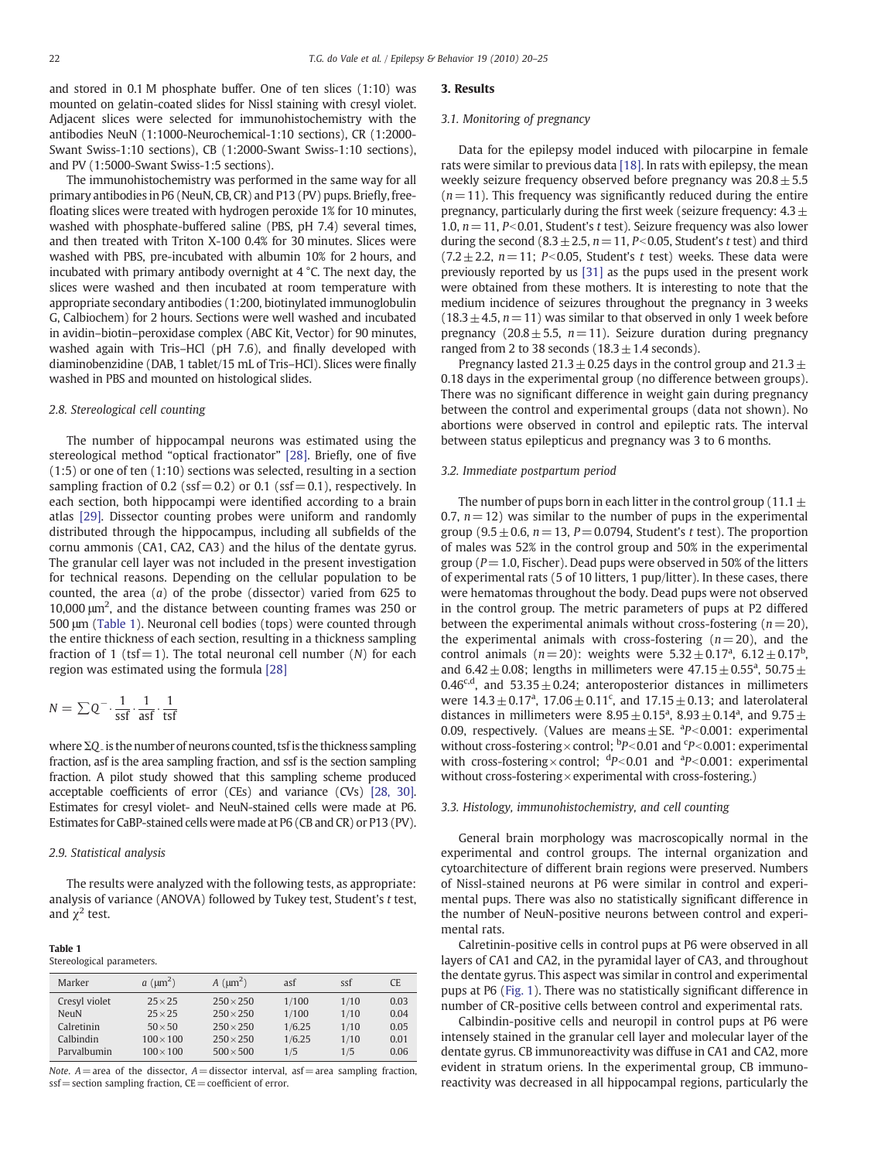and stored in 0.1 M phosphate buffer. One of ten slices (1:10) was mounted on gelatin-coated slides for Nissl staining with cresyl violet. Adjacent slices were selected for immunohistochemistry with the antibodies NeuN (1:1000-Neurochemical-1:10 sections), CR (1:2000- Swant Swiss-1:10 sections), CB (1:2000-Swant Swiss-1:10 sections), and PV (1:5000-Swant Swiss-1:5 sections).

The immunohistochemistry was performed in the same way for all primary antibodies in P6 (NeuN, CB, CR) and P13 (PV) pups. Briefly, freefloating slices were treated with hydrogen peroxide 1% for 10 minutes, washed with phosphate-buffered saline (PBS, pH 7.4) several times, and then treated with Triton X-100 0.4% for 30 minutes. Slices were washed with PBS, pre-incubated with albumin 10% for 2 hours, and incubated with primary antibody overnight at 4 °C. The next day, the slices were washed and then incubated at room temperature with appropriate secondary antibodies (1:200, biotinylated immunoglobulin G, Calbiochem) for 2 hours. Sections were well washed and incubated in avidin–biotin–peroxidase complex (ABC Kit, Vector) for 90 minutes, washed again with Tris–HCl (pH 7.6), and finally developed with diaminobenzidine (DAB, 1 tablet/15 mL of Tris–HCl). Slices were finally washed in PBS and mounted on histological slides.

#### 2.8. Stereological cell counting

The number of hippocampal neurons was estimated using the stereological method "optical fractionator" [\[28\]](#page-5-0). Briefly, one of five (1:5) or one of ten (1:10) sections was selected, resulting in a section sampling fraction of 0.2 (ssf = 0.2) or 0.1 (ssf = 0.1), respectively. In each section, both hippocampi were identified according to a brain atlas [\[29\]](#page-5-0). Dissector counting probes were uniform and randomly distributed through the hippocampus, including all subfields of the cornu ammonis (CA1, CA2, CA3) and the hilus of the dentate gyrus. The granular cell layer was not included in the present investigation for technical reasons. Depending on the cellular population to be counted, the area (a) of the probe (dissector) varied from 625 to 10,000 μm2 , and the distance between counting frames was 250 or 500 μm (Table 1). Neuronal cell bodies (tops) were counted through the entire thickness of each section, resulting in a thickness sampling fraction of 1 (tsf = 1). The total neuronal cell number  $(N)$  for each region was estimated using the formula [\[28\]](#page-5-0)

$$
N = \sum Q^{-} \cdot \frac{1}{\text{ssf}} \cdot \frac{1}{\text{asf}} \cdot \frac{1}{\text{tsf}}
$$

where ΣQ<sub>-</sub> is the number of neurons counted, tsf is the thickness sampling fraction, asf is the area sampling fraction, and ssf is the section sampling fraction. A pilot study showed that this sampling scheme produced acceptable coefficients of error (CEs) and variance (CVs) [\[28, 30\].](#page-5-0) Estimates for cresyl violet- and NeuN-stained cells were made at P6. Estimates for CaBP-stained cells were made at P6 (CB and CR) or P13 (PV).

#### 2.9. Statistical analysis

The results were analyzed with the following tests, as appropriate: analysis of variance (ANOVA) followed by Tukey test, Student's t test, and  $\chi^2$  test.

#### Table 1

Stereological parameters.

| Marker        | $a \, (\mu m^2)$ | $A \, (\mu m^2)$ | asf    | ssf  | CE.  |
|---------------|------------------|------------------|--------|------|------|
| Cresyl violet | $25 \times 25$   | $250 \times 250$ | 1/100  | 1/10 | 0.03 |
| NeuN          | $25 \times 25$   | $250 \times 250$ | 1/100  | 1/10 | 0.04 |
| Calretinin    | $50 \times 50$   | $250 \times 250$ | 1/6.25 | 1/10 | 0.05 |
| Calbindin     | $100 \times 100$ | $250 \times 250$ | 1/6.25 | 1/10 | 0.01 |
| Parvalbumin   | $100 \times 100$ | $500 \times 500$ | 1/5    | 1/5  | 0.06 |

Note.  $A$  = area of the dissector,  $A$  = dissector interval, asf = area sampling fraction,  $ssf =$  section sampling fraction,  $CE =$  coefficient of error.

#### 3. Results

#### 3.1. Monitoring of pregnancy

Data for the epilepsy model induced with pilocarpine in female rats were similar to previous data [\[18\].](#page-5-0) In rats with epilepsy, the mean weekly seizure frequency observed before pregnancy was  $20.8 \pm 5.5$  $(n = 11)$ . This frequency was significantly reduced during the entire pregnancy, particularly during the first week (seizure frequency:  $4.3\pm$ 1.0,  $n=11$ , P<0.01, Student's t test). Seizure frequency was also lower during the second (8.3  $\pm$  2.5, n = 11, P<0.05, Student's t test) and third  $(7.2 \pm 2.2, n=11; P<0.05,$  Student's t test) weeks. These data were previously reported by us [\[31\]](#page-5-0) as the pups used in the present work were obtained from these mothers. It is interesting to note that the medium incidence of seizures throughout the pregnancy in 3 weeks  $(18.3 \pm 4.5, n=11)$  was similar to that observed in only 1 week before pregnancy (20.8 $\pm$ 5.5, n=11). Seizure duration during pregnancy ranged from 2 to 38 seconds ( $18.3 \pm 1.4$  seconds).

Pregnancy lasted 21.3  $\pm$  0.25 days in the control group and 21.3  $\pm$ 0.18 days in the experimental group (no difference between groups). There was no significant difference in weight gain during pregnancy between the control and experimental groups (data not shown). No abortions were observed in control and epileptic rats. The interval between status epilepticus and pregnancy was 3 to 6 months.

# 3.2. Immediate postpartum period

The number of pups born in each litter in the control group (11.1 $\pm$ 0.7,  $n = 12$ ) was similar to the number of pups in the experimental group (9.5  $\pm$  0.6, n = 13, P = 0.0794, Student's t test). The proportion of males was 52% in the control group and 50% in the experimental group ( $P = 1.0$ , Fischer). Dead pups were observed in 50% of the litters of experimental rats (5 of 10 litters, 1 pup/litter). In these cases, there were hematomas throughout the body. Dead pups were not observed in the control group. The metric parameters of pups at P2 differed between the experimental animals without cross-fostering  $(n=20)$ , the experimental animals with cross-fostering  $(n=20)$ , and the control animals ( $n = 20$ ): weights were  $5.32 \pm 0.17^a$ ,  $6.12 \pm 0.17^b$ , and 6.42  $\pm$  0.08; lengths in millimeters were 47.15  $\pm$  0.55<sup>a</sup>, 50.75  $\pm$ 0.46<sup>c,d</sup>, and 53.35  $\pm$  0.24; anteroposterior distances in millimeters were  $14.3 \pm 0.17^a$ ,  $17.06 \pm 0.11^c$ , and  $17.15 \pm 0.13$ ; and laterolateral distances in millimeters were  $8.95 \pm 0.15^{\text{a}}$ ,  $8.93 \pm 0.14^{\text{a}}$ , and  $9.75 \pm$ 0.09, respectively. (Values are means  $\pm$  SE.  $aP < 0.001$ : experimental without cross-fostering  $\times$  control; <sup>b</sup>P<0.01 and <sup>c</sup>P<0.001: experimental with cross-fostering  $\times$  control;  $dp < 0.01$  and  $dp < 0.001$ : experimental without cross-fostering $\times$  experimental with cross-fostering.)

#### 3.3. Histology, immunohistochemistry, and cell counting

General brain morphology was macroscopically normal in the experimental and control groups. The internal organization and cytoarchitecture of different brain regions were preserved. Numbers of Nissl-stained neurons at P6 were similar in control and experimental pups. There was also no statistically significant difference in the number of NeuN-positive neurons between control and experimental rats.

Calretinin-positive cells in control pups at P6 were observed in all layers of CA1 and CA2, in the pyramidal layer of CA3, and throughout the dentate gyrus. This aspect was similar in control and experimental pups at P6 ([Fig. 1](#page-3-0)). There was no statistically significant difference in number of CR-positive cells between control and experimental rats.

Calbindin-positive cells and neuropil in control pups at P6 were intensely stained in the granular cell layer and molecular layer of the dentate gyrus. CB immunoreactivity was diffuse in CA1 and CA2, more evident in stratum oriens. In the experimental group, CB immunoreactivity was decreased in all hippocampal regions, particularly the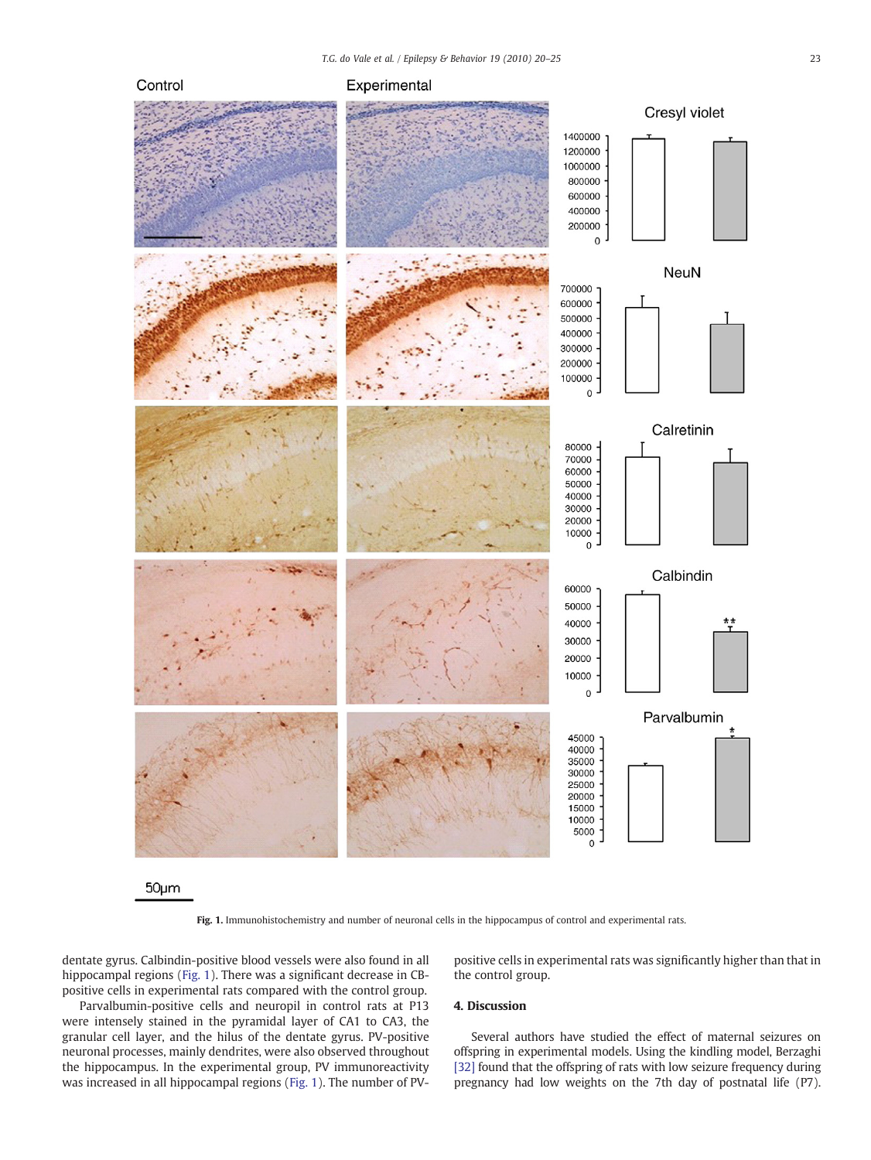<span id="page-3-0"></span>

 $50<sub>µ</sub>m$ 

Fig. 1. Immunohistochemistry and number of neuronal cells in the hippocampus of control and experimental rats.

dentate gyrus. Calbindin-positive blood vessels were also found in all hippocampal regions (Fig. 1). There was a significant decrease in CBpositive cells in experimental rats compared with the control group.

Parvalbumin-positive cells and neuropil in control rats at P13 were intensely stained in the pyramidal layer of CA1 to CA3, the granular cell layer, and the hilus of the dentate gyrus. PV-positive neuronal processes, mainly dendrites, were also observed throughout the hippocampus. In the experimental group, PV immunoreactivity was increased in all hippocampal regions (Fig. 1). The number of PV-

positive cells in experimental rats was significantly higher than that in the control group.

# 4. Discussion

Several authors have studied the effect of maternal seizures on offspring in experimental models. Using the kindling model, Berzaghi [\[32\]](#page-5-0) found that the offspring of rats with low seizure frequency during pregnancy had low weights on the 7th day of postnatal life (P7).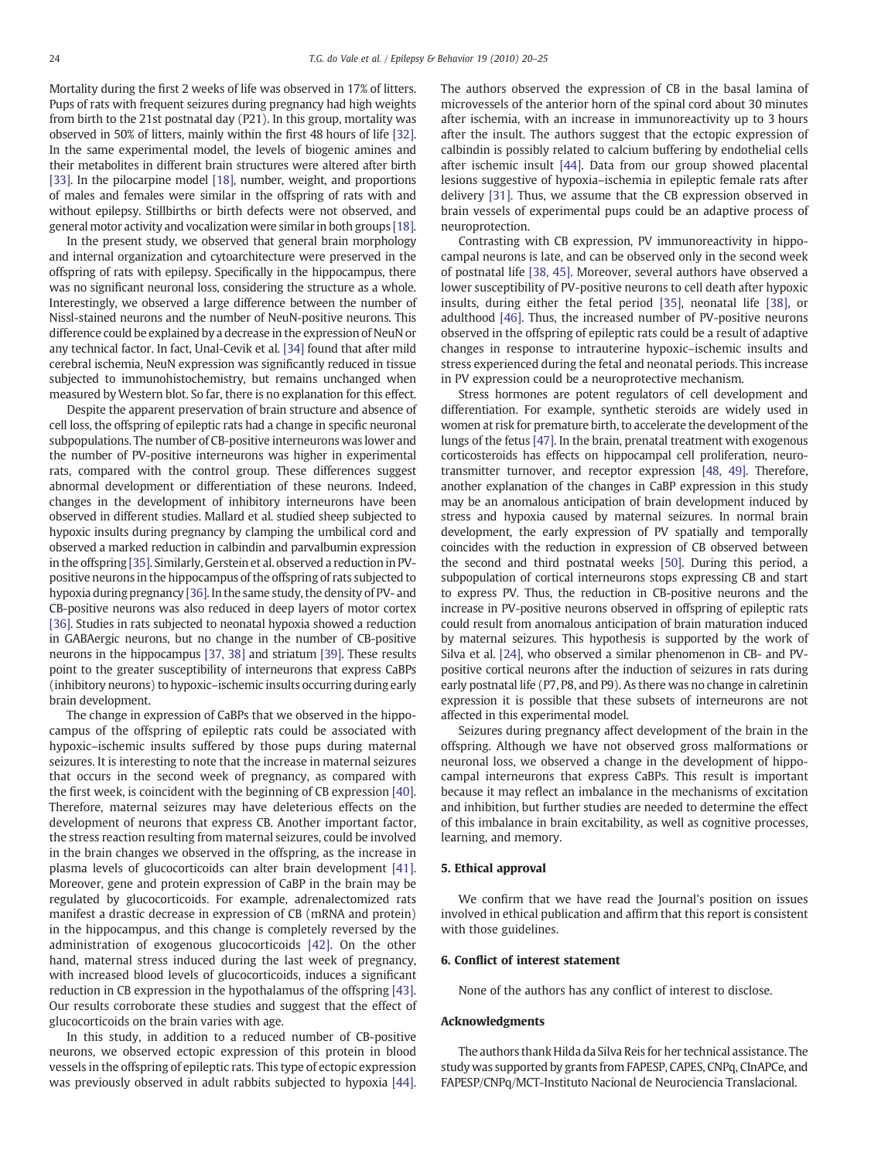Mortality during the first 2 weeks of life was observed in 17% of litters. Pups of rats with frequent seizures during pregnancy had high weights from birth to the 21st postnatal day (P21). In this group, mortality was observed in 50% of litters, mainly within the first 48 hours of life [\[32\].](#page-5-0) In the same experimental model, the levels of biogenic amines and their metabolites in different brain structures were altered after birth [\[33\]](#page-5-0). In the pilocarpine model [\[18\],](#page-5-0) number, weight, and proportions of males and females were similar in the offspring of rats with and without epilepsy. Stillbirths or birth defects were not observed, and general motor activity and vocalization were similar in both groups [\[18\].](#page-5-0)

In the present study, we observed that general brain morphology and internal organization and cytoarchitecture were preserved in the offspring of rats with epilepsy. Specifically in the hippocampus, there was no significant neuronal loss, considering the structure as a whole. Interestingly, we observed a large difference between the number of Nissl-stained neurons and the number of NeuN-positive neurons. This difference could be explained by a decrease in the expression of NeuN or any technical factor. In fact, Unal-Cevik et al. [\[34\]](#page-5-0) found that after mild cerebral ischemia, NeuN expression was significantly reduced in tissue subjected to immunohistochemistry, but remains unchanged when measured by Western blot. So far, there is no explanation for this effect.

Despite the apparent preservation of brain structure and absence of cell loss, the offspring of epileptic rats had a change in specific neuronal subpopulations. The number of CB-positive interneurons was lower and the number of PV-positive interneurons was higher in experimental rats, compared with the control group. These differences suggest abnormal development or differentiation of these neurons. Indeed, changes in the development of inhibitory interneurons have been observed in different studies. Mallard et al. studied sheep subjected to hypoxic insults during pregnancy by clamping the umbilical cord and observed a marked reduction in calbindin and parvalbumin expression in the offspring [\[35\]](#page-5-0). Similarly, Gerstein et al. observed a reduction in PVpositive neurons in the hippocampus of the offspring of rats subjected to hypoxia during pregnancy [\[36\].](#page-5-0) In the same study, the density of PV- and CB-positive neurons was also reduced in deep layers of motor cortex [\[36\]](#page-5-0). Studies in rats subjected to neonatal hypoxia showed a reduction in GABAergic neurons, but no change in the number of CB-positive neurons in the hippocampus [\[37, 38\]](#page-5-0) and striatum [\[39\].](#page-5-0) These results point to the greater susceptibility of interneurons that express CaBPs (inhibitory neurons) to hypoxic–ischemic insults occurring during early brain development.

The change in expression of CaBPs that we observed in the hippocampus of the offspring of epileptic rats could be associated with hypoxic–ischemic insults suffered by those pups during maternal seizures. It is interesting to note that the increase in maternal seizures that occurs in the second week of pregnancy, as compared with the first week, is coincident with the beginning of CB expression [\[40\].](#page-5-0) Therefore, maternal seizures may have deleterious effects on the development of neurons that express CB. Another important factor, the stress reaction resulting from maternal seizures, could be involved in the brain changes we observed in the offspring, as the increase in plasma levels of glucocorticoids can alter brain development [\[41\].](#page-5-0) Moreover, gene and protein expression of CaBP in the brain may be regulated by glucocorticoids. For example, adrenalectomized rats manifest a drastic decrease in expression of CB (mRNA and protein) in the hippocampus, and this change is completely reversed by the administration of exogenous glucocorticoids [\[42\].](#page-5-0) On the other hand, maternal stress induced during the last week of pregnancy, with increased blood levels of glucocorticoids, induces a significant reduction in CB expression in the hypothalamus of the offspring [\[43\].](#page-5-0) Our results corroborate these studies and suggest that the effect of glucocorticoids on the brain varies with age.

In this study, in addition to a reduced number of CB-positive neurons, we observed ectopic expression of this protein in blood vessels in the offspring of epileptic rats. This type of ectopic expression was previously observed in adult rabbits subjected to hypoxia [\[44\].](#page-5-0) The authors observed the expression of CB in the basal lamina of microvessels of the anterior horn of the spinal cord about 30 minutes after ischemia, with an increase in immunoreactivity up to 3 hours after the insult. The authors suggest that the ectopic expression of calbindin is possibly related to calcium buffering by endothelial cells after ischemic insult [\[44\].](#page-5-0) Data from our group showed placental lesions suggestive of hypoxia–ischemia in epileptic female rats after delivery [\[31\]](#page-5-0). Thus, we assume that the CB expression observed in brain vessels of experimental pups could be an adaptive process of neuroprotection.

Contrasting with CB expression, PV immunoreactivity in hippocampal neurons is late, and can be observed only in the second week of postnatal life [\[38, 45\]](#page-5-0). Moreover, several authors have observed a lower susceptibility of PV-positive neurons to cell death after hypoxic insults, during either the fetal period [\[35\]](#page-5-0), neonatal life [\[38\],](#page-5-0) or adulthood [\[46\].](#page-5-0) Thus, the increased number of PV-positive neurons observed in the offspring of epileptic rats could be a result of adaptive changes in response to intrauterine hypoxic–ischemic insults and stress experienced during the fetal and neonatal periods. This increase in PV expression could be a neuroprotective mechanism.

Stress hormones are potent regulators of cell development and differentiation. For example, synthetic steroids are widely used in women at risk for premature birth, to accelerate the development of the lungs of the fetus [\[47\].](#page-5-0) In the brain, prenatal treatment with exogenous corticosteroids has effects on hippocampal cell proliferation, neurotransmitter turnover, and receptor expression [\[48, 49\]](#page-5-0). Therefore, another explanation of the changes in CaBP expression in this study may be an anomalous anticipation of brain development induced by stress and hypoxia caused by maternal seizures. In normal brain development, the early expression of PV spatially and temporally coincides with the reduction in expression of CB observed between the second and third postnatal weeks [\[50\]](#page-5-0). During this period, a subpopulation of cortical interneurons stops expressing CB and start to express PV. Thus, the reduction in CB-positive neurons and the increase in PV-positive neurons observed in offspring of epileptic rats could result from anomalous anticipation of brain maturation induced by maternal seizures. This hypothesis is supported by the work of Silva et al. [\[24\]](#page-5-0), who observed a similar phenomenon in CB- and PVpositive cortical neurons after the induction of seizures in rats during early postnatal life (P7, P8, and P9). As there was no change in calretinin expression it is possible that these subsets of interneurons are not affected in this experimental model.

Seizures during pregnancy affect development of the brain in the offspring. Although we have not observed gross malformations or neuronal loss, we observed a change in the development of hippocampal interneurons that express CaBPs. This result is important because it may reflect an imbalance in the mechanisms of excitation and inhibition, but further studies are needed to determine the effect of this imbalance in brain excitability, as well as cognitive processes, learning, and memory.

### 5. Ethical approval

We confirm that we have read the Journal's position on issues involved in ethical publication and affirm that this report is consistent with those guidelines.

#### 6. Conflict of interest statement

None of the authors has any conflict of interest to disclose.

#### Acknowledgments

The authors thank Hilda da Silva Reis for her technical assistance. The study was supported by grants from FAPESP, CAPES, CNPq, CInAPCe, and FAPESP/CNPq/MCT-Instituto Nacional de Neurociencia Translacional.